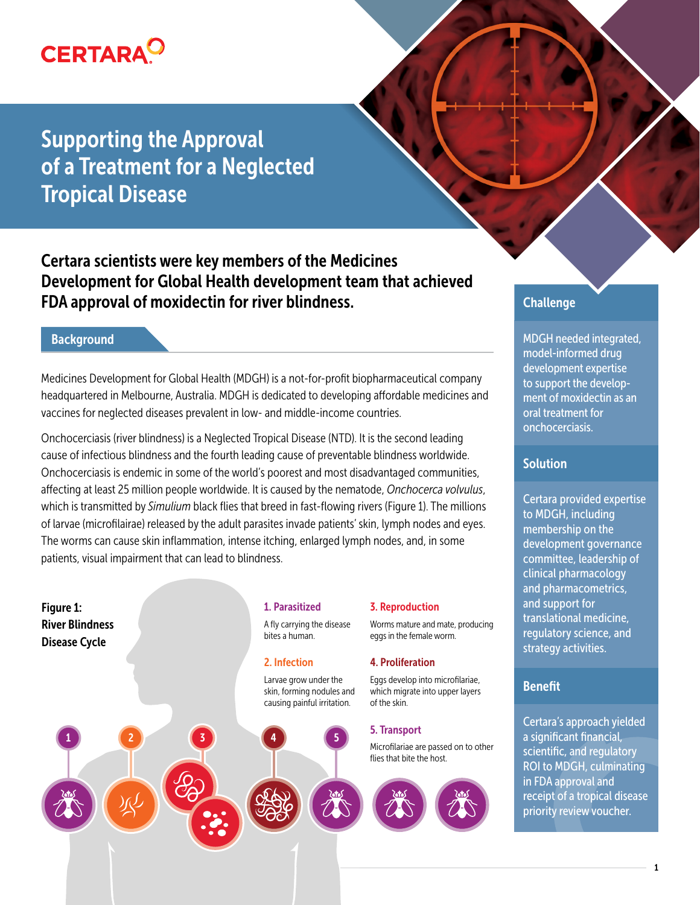

Supporting the Approval of a Treatment for a Neglected Tropical Disease

Certara scientists were key members of the Medicines Development for Global Health development team that achieved FDA approval of moxidectin for river blindness.

### **Background**

Medicines Development for Global Health (MDGH) is a not-for-profit biopharmaceutical company headquartered in Melbourne, Australia. MDGH is dedicated to developing affordable medicines and vaccines for neglected diseases prevalent in low- and middle-income countries.

Onchocerciasis (river blindness) is a Neglected Tropical Disease (NTD). It is the second leading cause of infectious blindness and the fourth leading cause of preventable blindness worldwide. Onchocerciasis is endemic in some of the world's poorest and most disadvantaged communities, affecting at least 25 million people worldwide. It is caused by the nematode, *Onchocerca volvulus*, which is transmitted by *Simulium* black flies that breed in fast-flowing rivers (Figure 1). The millions of larvae (microfilairae) released by the adult parasites invade patients' skin, lymph nodes and eyes. The worms can cause skin inflammation, intense itching, enlarged lymph nodes, and, in some patients, visual impairment that can lead to blindness.

Figure 1: River Blindness Disease Cycle

#### 1. Parasitized

A fly carrying the disease bites a human.

#### 2. Infection

Larvae grow under the skin, forming nodules and causing painful irritation.



#### 3. Reproduction

Worms mature and mate, producing eggs in the female worm.

#### 4. Proliferation

Eggs develop into microfilariae, which migrate into upper layers of the skin.

Microfilariae are passed on to other



# **Challenge**

MDGH needed integrated, model-informed drug development expertise to support the development of moxidectin as an oral treatment for onchocerciasis.

### **Solution**

Certara provided expertise to MDGH, including membership on the development governance committee, leadership of clinical pharmacology and pharmacometrics, and support for translational medicine, regulatory science, and strategy activities.

### Benefit

Certara's approach yielded a significant financial, scientific, and regulatory ROI to MDGH, culminating in FDA approval and receipt of a tropical disease priority review voucher.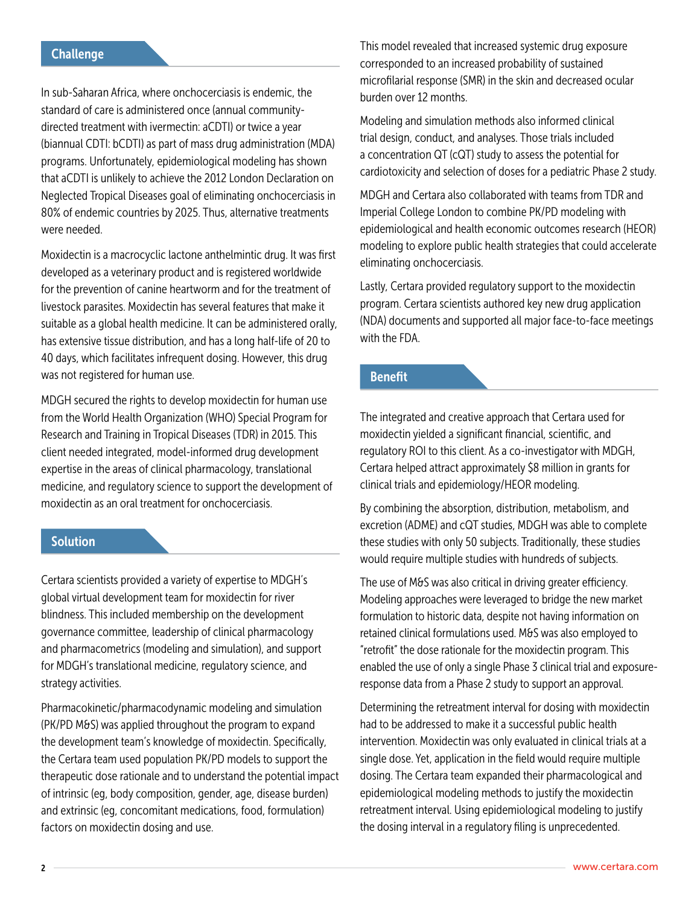## **Challenge**

In sub-Saharan Africa, where onchocerciasis is endemic, the standard of care is administered once (annual communitydirected treatment with ivermectin: aCDTI) or twice a year (biannual CDTI: bCDTI) as part of mass drug administration (MDA) programs. Unfortunately, epidemiological modeling has shown that aCDTI is unlikely to achieve the 2012 London Declaration on Neglected Tropical Diseases goal of eliminating onchocerciasis in 80% of endemic countries by 2025. Thus, alternative treatments were needed.

Moxidectin is a macrocyclic lactone anthelmintic drug. It was first developed as a veterinary product and is registered worldwide for the prevention of canine heartworm and for the treatment of livestock parasites. Moxidectin has several features that make it suitable as a global health medicine. It can be administered orally, has extensive tissue distribution, and has a long half-life of 20 to 40 days, which facilitates infrequent dosing. However, this drug was not registered for human use.

MDGH secured the rights to develop moxidectin for human use from the World Health Organization (WHO) Special Program for Research and Training in Tropical Diseases (TDR) in 2015. This client needed integrated, model-informed drug development expertise in the areas of clinical pharmacology, translational medicine, and regulatory science to support the development of moxidectin as an oral treatment for onchocerciasis.

### Solution

Certara scientists provided a variety of expertise to MDGH's global virtual development team for moxidectin for river blindness. This included membership on the development governance committee, leadership of clinical pharmacology and pharmacometrics (modeling and simulation), and support for MDGH's translational medicine, regulatory science, and strategy activities.

Pharmacokinetic/pharmacodynamic modeling and simulation (PK/PD M&S) was applied throughout the program to expand the development team's knowledge of moxidectin. Specifically, the Certara team used population PK/PD models to support the therapeutic dose rationale and to understand the potential impact of intrinsic (eg, body composition, gender, age, disease burden) and extrinsic (eg, concomitant medications, food, formulation) factors on moxidectin dosing and use.

This model revealed that increased systemic drug exposure corresponded to an increased probability of sustained microfilarial response (SMR) in the skin and decreased ocular burden over 12 months.

Modeling and simulation methods also informed clinical trial design, conduct, and analyses. Those trials included a concentration QT (cQT) study to assess the potential for cardiotoxicity and selection of doses for a pediatric Phase 2 study.

MDGH and Certara also collaborated with teams from TDR and Imperial College London to combine PK/PD modeling with epidemiological and health economic outcomes research (HEOR) modeling to explore public health strategies that could accelerate eliminating onchocerciasis.

Lastly, Certara provided regulatory support to the moxidectin program. Certara scientists authored key new drug application (NDA) documents and supported all major face-to-face meetings with the FDA.

### Benefit

The integrated and creative approach that Certara used for moxidectin yielded a significant financial, scientific, and regulatory ROI to this client. As a co-investigator with MDGH, Certara helped attract approximately \$8 million in grants for clinical trials and epidemiology/HEOR modeling.

By combining the absorption, distribution, metabolism, and excretion (ADME) and cQT studies, MDGH was able to complete these studies with only 50 subjects. Traditionally, these studies would require multiple studies with hundreds of subjects.

The use of M&S was also critical in driving greater efficiency. Modeling approaches were leveraged to bridge the new market formulation to historic data, despite not having information on retained clinical formulations used. M&S was also employed to "retrofit" the dose rationale for the moxidectin program. This enabled the use of only a single Phase 3 clinical trial and exposureresponse data from a Phase 2 study to support an approval.

Determining the retreatment interval for dosing with moxidectin had to be addressed to make it a successful public health intervention. Moxidectin was only evaluated in clinical trials at a single dose. Yet, application in the field would require multiple dosing. The Certara team expanded their pharmacological and epidemiological modeling methods to justify the moxidectin retreatment interval. Using epidemiological modeling to justify the dosing interval in a regulatory filing is unprecedented.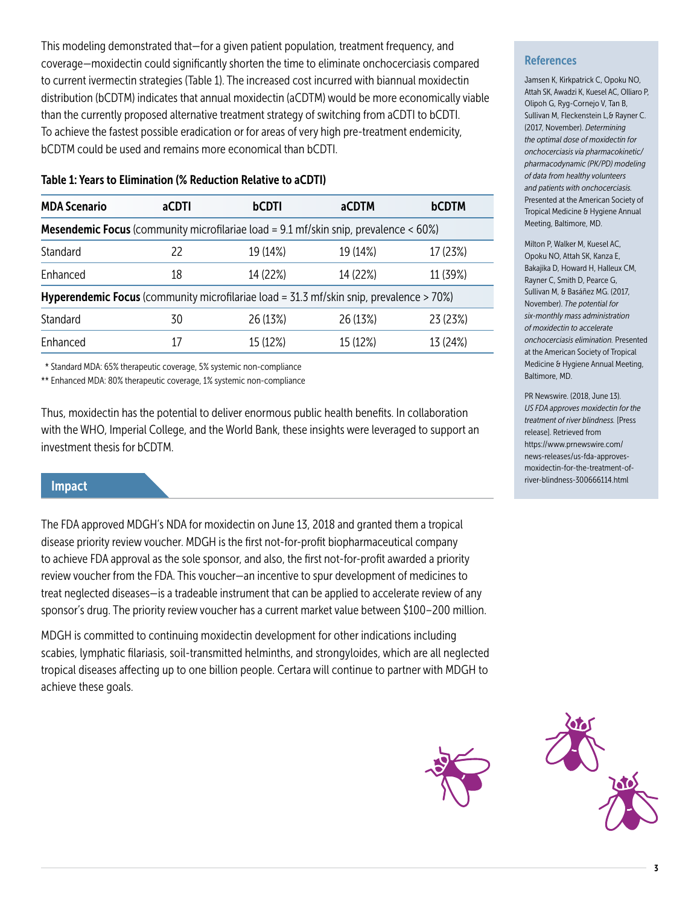This modeling demonstrated that—for a given patient population, treatment frequency, and coverage—moxidectin could significantly shorten the time to eliminate onchocerciasis compared to current ivermectin strategies (Table 1). The increased cost incurred with biannual moxidectin distribution (bCDTM) indicates that annual moxidectin (aCDTM) would be more economically viable than the currently proposed alternative treatment strategy of switching from aCDTI to bCDTI. To achieve the fastest possible eradication or for areas of very high pre-treatment endemicity, bCDTM could be used and remains more economical than bCDTI.

| <b>MDA Scenario</b>                                                                                  | aCDTI | bCDTI    | <b>aCDTM</b> | <b>bCDTM</b> |
|------------------------------------------------------------------------------------------------------|-------|----------|--------------|--------------|
| <b>Mesendemic Focus</b> (community microfilariae load = $9.1$ mf/skin snip, prevalence < $60\%$ )    |       |          |              |              |
| Standard                                                                                             | 22    | 19 (14%) | 19 (14%)     | 17 (23%)     |
| Enhanced                                                                                             | 18    | 14 (22%) | 14 (22%)     | 11 (39%)     |
| <b>Hyperendemic Focus</b> (community microfilariae load = $31.3$ mf/skin snip, prevalence > $70\%$ ) |       |          |              |              |
| Standard                                                                                             | 30    | 26 (13%) | 26 (13%)     | 23 (23%)     |
| <b>F</b> nhanced                                                                                     |       | 15 (12%) | 15 (12%)     | 13 (24%)     |

\* Standard MDA: 65% therapeutic coverage, 5% systemic non-compliance

\*\* Enhanced MDA: 80% therapeutic coverage, 1% systemic non-compliance

Thus, moxidectin has the potential to deliver enormous public health benefits. In collaboration with the WHO, Imperial College, and the World Bank, these insights were leveraged to support an investment thesis for bCDTM.

### Impact

The FDA approved MDGH's NDA for moxidectin on June 13, 2018 and granted them a tropical disease priority review voucher. MDGH is the first not-for-profit biopharmaceutical company to achieve FDA approval as the sole sponsor, and also, the first not-for-profit awarded a priority review voucher from the FDA. This voucher—an incentive to spur development of medicines to treat neglected diseases—is a tradeable instrument that can be applied to accelerate review of any sponsor's drug. The priority review voucher has a current market value between \$100–200 million.

MDGH is committed to continuing moxidectin development for other indications including scabies, lymphatic filariasis, soil-transmitted helminths, and strongyloides, which are all neglected tropical diseases affecting up to one billion people. Certara will continue to partner with MDGH to achieve these goals.



#### **References**

Jamsen K, Kirkpatrick C, Opoku NO, Attah SK, Awadzi K, Kuesel AC, Olliaro P, Olipoh G, Ryg-Cornejo V, Tan B, Sullivan M, Fleckenstein L,& Rayner C. (2017, November). *Determining the optimal dose of moxidectin for onchocerciasis via pharmacokinetic/ pharmacodynamic (PK/PD) modeling of data from healthy volunteers and patients with onchocerciasis.* Presented at the American Society of Tropical Medicine & Hygiene Annual Meeting, Baltimore, MD.

Milton P, Walker M, Kuesel AC, Opoku NO, Attah SK, Kanza E, Bakajika D, Howard H, Halleux CM, Rayner C, Smith D, Pearce G, Sullivan M, & Basáñez MG. (2017, November). *The potential for six-monthly mass administration of moxidectin to accelerate onchocerciasis elimination.* Presented at the American Society of Tropical Medicine & Hygiene Annual Meeting, Baltimore, MD.

PR Newswire. (2018, June 13). *US FDA approves moxidectin for the treatment of river blindness.* [Press release]. Retrieved from https://www.prnewswire.com/ news-releases/us-fda-approvesmoxidectin-for-the-treatment-ofriver-blindness-300666114.html